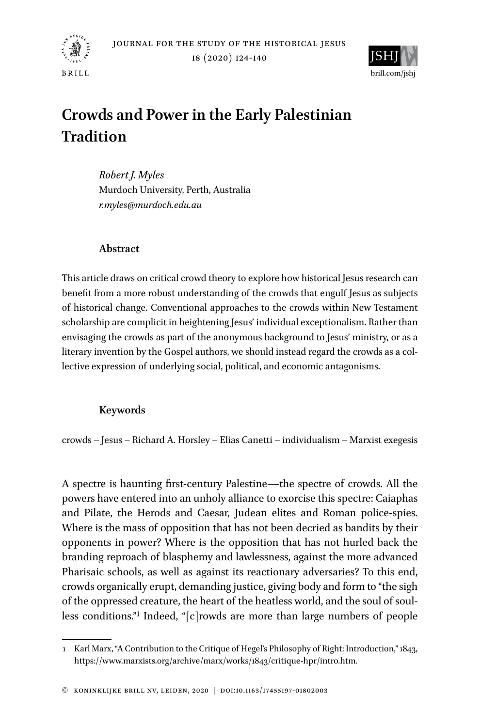



# **Crowds and Power in the Early Palestinian Tradition**

*Robert J. Myles* Murdoch University, Perth, Australia *r.myles@murdoch.edu.au*

# **Abstract**

**BRILL** 

This article draws on critical crowd theory to explore how historical Jesus research can benefit from a more robust understanding of the crowds that engulf Jesus as subjects of historical change. Conventional approaches to the crowds within New Testament scholarship are complicit in heightening Jesus' individual exceptionalism. Rather than envisaging the crowds as part of the anonymous background to Jesus' ministry, or as a literary invention by the Gospel authors, we should instead regard the crowds as a collective expression of underlying social, political, and economic antagonisms.

# **Keywords**

crowds – Jesus – Richard A. Horsley – Elias Canetti – individualism – Marxist exegesis

A spectre is haunting first-century Palestine—the spectre of crowds. All the powers have entered into an unholy alliance to exorcise this spectre: Caiaphas and Pilate, the Herods and Caesar, Judean elites and Roman police-spies. Where is the mass of opposition that has not been decried as bandits by their opponents in power? Where is the opposition that has not hurled back the branding reproach of blasphemy and lawlessness, against the more advanced Pharisaic schools, as well as against its reactionary adversaries? To this end, crowds organically erupt, demanding justice, giving body and form to "the sigh of the oppressed creature, the heart of the heatless world, and the soul of soulless conditions.["1](#page-0-0) Indeed, "[c]rowds are more than large numbers of people

<span id="page-0-0"></span><sup>1</sup> Karl Marx, "A Contribution to the Critique of Hegel's Philosophy of Right: Introduction," 1843, [https://www.marxists.org/archive/marx/works/1843/critique-hpr/intro.htm.](https://www.marxists.org/archive/marx/works/1843/critique-hpr/intro.htm)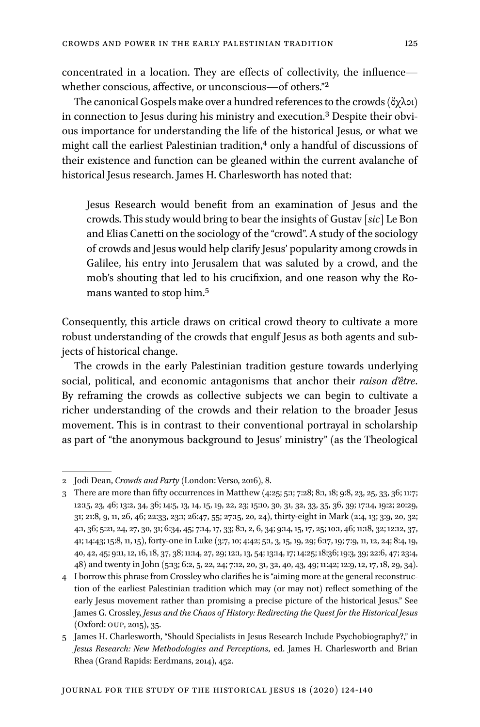concentrated in a location. They are effects of collectivity, the influence whether conscious, affective, or unconscious—of others.["2](#page-1-0)

The canonical Gospels make over a hundred references to the crowds (ὄχλοι) in connection to Jesus during his ministry and execution.[3](#page-1-1) Despite their obvious importance for understanding the life of the historical Jesus, or what we might call the earliest Palestinian tradition,<sup>4</sup> only a handful of discussions of their existence and function can be gleaned within the current avalanche of historical Jesus research. James H. Charlesworth has noted that:

Jesus Research would benefit from an examination of Jesus and the crowds. This study would bring to bear the insights of Gustav [*sic*] Le Bon and Elias Canetti on the sociology of the "crowd". A study of the sociology of crowds and Jesus would help clarify Jesus' popularity among crowds in Galilee, his entry into Jerusalem that was saluted by a crowd, and the mob's shouting that led to his crucifixion, and one reason why the Romans wanted to stop him.[5](#page-1-3)

Consequently, this article draws on critical crowd theory to cultivate a more robust understanding of the crowds that engulf Jesus as both agents and subjects of historical change.

The crowds in the early Palestinian tradition gesture towards underlying social, political, and economic antagonisms that anchor their *raison d'être*. By reframing the crowds as collective subjects we can begin to cultivate a richer understanding of the crowds and their relation to the broader Jesus movement. This is in contrast to their conventional portrayal in scholarship as part of "the anonymous background to Jesus' ministry" (as the Theological

<span id="page-1-0"></span><sup>2</sup> Jodi Dean, *Crowds and Party* (London: Verso, 2016), 8.

<span id="page-1-1"></span><sup>3</sup> There are more than fifty occurrences in Matthew (4:25; 5:1; 7:28; 8:1, 18; 9:8, 23, 25, 33, 36; 11:7; 12:15, 23, 46; 13:2, 34, 36; 14:5, 13, 14, 15, 19, 22, 23; 15:10, 30, 31, 32, 33, 35, 36, 39; 17:14, 19:2; 20:29, 31; 21:8, 9, 11, 26, 46; 22:33, 23:1; 26:47, 55; 27:15, 20, 24), thirty-eight in Mark (2:4, 13; 3:9, 20, 32; 4:1, 36; 5:21, 24, 27, 30, 31; 6:34, 45; 7:14, 17, 33; 8:1, 2, 6, 34; 9:14, 15, 17, 25; 10:1, 46; 11:18, 32; 12:12, 37, 41; 14:43; 15:8, 11, 15), forty-one in Luke (3:7, 10; 4:42; 5:1, 3, 15, 19, 29; 6:17, 19; 7:9, 11, 12, 24; 8:4, 19, 40, 42, 45; 9:11, 12, 16, 18, 37, 38; 11:14, 27, 29; 12:1, 13, 54; 13:14, 17; 14:25; 18:36; 19:3, 39; 22:6, 47; 23:4, 48) and twenty in John (5:13; 6:2, 5, 22, 24; 7:12, 20, 31, 32, 40, 43, 49; 11:42; 12:9, 12, 17, 18, 29, 34).

<span id="page-1-2"></span><sup>4</sup> I borrow this phrase from Crossley who clarifies he is "aiming more at the general reconstruction of the earliest Palestinian tradition which may (or may not) reflect something of the early Jesus movement rather than promising a precise picture of the historical Jesus." See James G. Crossley, *Jesus and the Chaos of History: Redirecting the Quest for the Historical Jesus* (Oxford: oup, 2015), 35.

<span id="page-1-3"></span><sup>5</sup> James H. Charlesworth, "Should Specialists in Jesus Research Include Psychobiography?," in *Jesus Research: New Methodologies and Perceptions*, ed. James H. Charlesworth and Brian Rhea (Grand Rapids: Eerdmans, 2014), 452.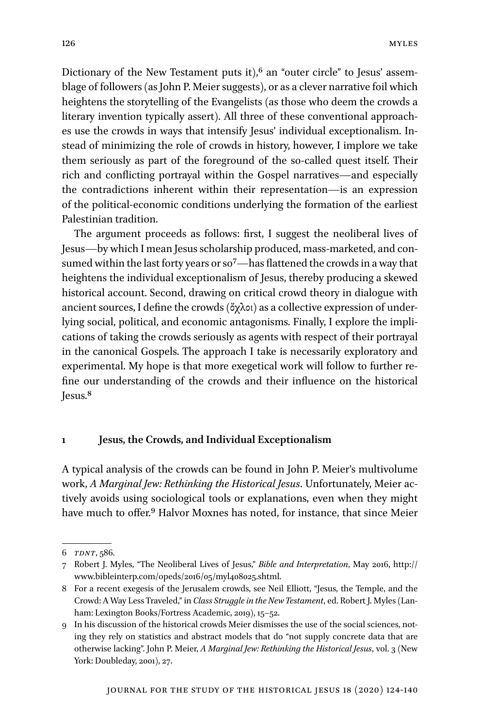Dictionary of the New Testament puts it),<sup>6</sup> an "outer circle" to Jesus' assemblage of followers (as John P. Meier suggests), or as a clever narrative foil which heightens the storytelling of the Evangelists (as those who deem the crowds a literary invention typically assert). All three of these conventional approaches use the crowds in ways that intensify Jesus' individual exceptionalism. Instead of minimizing the role of crowds in history, however, I implore we take them seriously as part of the foreground of the so-called quest itself. Their rich and conflicting portrayal within the Gospel narratives—and especially the contradictions inherent within their representation—is an expression of the political-economic conditions underlying the formation of the earliest Palestinian tradition.

The argument proceeds as follows: first, I suggest the neoliberal lives of Jesus—by which I mean Jesus scholarship produced, mass-marketed, and consumed within the last forty years or so<sup>7</sup>—has flattened the crowds in a way that heightens the individual exceptionalism of Jesus, thereby producing a skewed historical account. Second, drawing on critical crowd theory in dialogue with ancient sources, I define the crowds (ὄχλοι) as a collective expression of underlying social, political, and economic antagonisms. Finally, I explore the implications of taking the crowds seriously as agents with respect of their portrayal in the canonical Gospels. The approach I take is necessarily exploratory and experimental. My hope is that more exegetical work will follow to further refine our understanding of the crowds and their influence on the historical Jesus.[8](#page-2-2)

#### **1 Jesus, the Crowds, and Individual Exceptionalism**

A typical analysis of the crowds can be found in John P. Meier's multivolume work, *A Marginal Jew: Rethinking the Historical Jesus*. Unfortunately, Meier actively avoids using sociological tools or explanations, even when they might have much to offer.<sup>9</sup> Halvor Moxnes has noted, for instance, that since Meier

<span id="page-2-0"></span><sup>6</sup> *tdnt*, 586.

<span id="page-2-1"></span><sup>7</sup> Robert J. Myles, "The Neoliberal Lives of Jesus," *Bible and Interpretation*, May 2016, [http://](http://www.bibleinterp.com/opeds/2016/05/myl408025.shtml) [www.bibleinterp.com/opeds/2016/05/myl408025.shtml](http://www.bibleinterp.com/opeds/2016/05/myl408025.shtml).

<span id="page-2-2"></span><sup>8</sup> For a recent exegesis of the Jerusalem crowds, see Neil Elliott, "Jesus, the Temple, and the Crowd: A Way Less Traveled," in *Class Struggle in the New Testament*, ed. Robert J. Myles (Lanham: Lexington Books/Fortress Academic, 2019), 15–52.

<span id="page-2-3"></span><sup>9</sup> In his discussion of the historical crowds Meier dismisses the use of the social sciences, noting they rely on statistics and abstract models that do "not supply concrete data that are otherwise lacking". John P. Meier, *A Marginal Jew: Rethinking the Historical Jesus*, vol. 3 (New York: Doubleday, 2001), 27.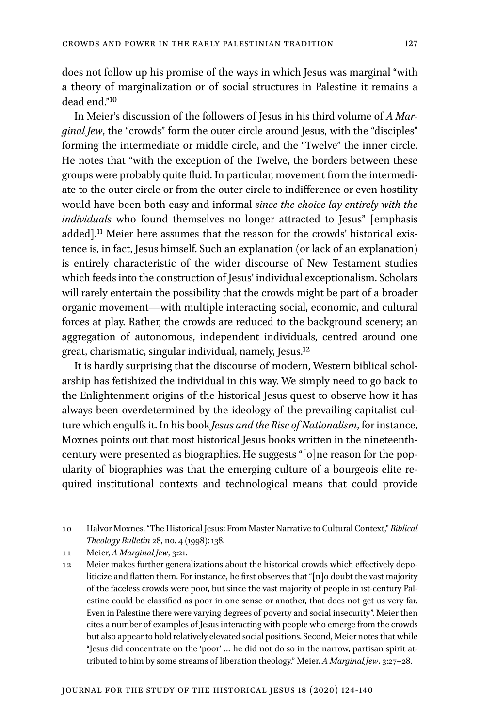does not follow up his promise of the ways in which Jesus was marginal "with a theory of marginalization or of social structures in Palestine it remains a dead end.["10](#page-3-0)

In Meier's discussion of the followers of Jesus in his third volume of *A Marginal Jew*, the "crowds" form the outer circle around Jesus, with the "disciples" forming the intermediate or middle circle, and the "Twelve" the inner circle. He notes that "with the exception of the Twelve, the borders between these groups were probably quite fluid. In particular, movement from the intermediate to the outer circle or from the outer circle to indifference or even hostility would have been both easy and informal *since the choice lay entirely with the individuals* who found themselves no longer attracted to Jesus" [emphasis added].[11](#page-3-1) Meier here assumes that the reason for the crowds' historical existence is, in fact, Jesus himself. Such an explanation (or lack of an explanation) is entirely characteristic of the wider discourse of New Testament studies which feeds into the construction of Jesus' individual exceptionalism. Scholars will rarely entertain the possibility that the crowds might be part of a broader organic movement—with multiple interacting social, economic, and cultural forces at play. Rather, the crowds are reduced to the background scenery; an aggregation of autonomous, independent individuals, centred around one great, charismatic, singular individual, namely, Jesus[.12](#page-3-2)

It is hardly surprising that the discourse of modern, Western biblical scholarship has fetishized the individual in this way. We simply need to go back to the Enlightenment origins of the historical Jesus quest to observe how it has always been overdetermined by the ideology of the prevailing capitalist culture which engulfs it. In his book *Jesus and the Rise of Nationalism*, for instance, Moxnes points out that most historical Jesus books written in the nineteenthcentury were presented as biographies. He suggests "[o]ne reason for the popularity of biographies was that the emerging culture of a bourgeois elite required institutional contexts and technological means that could provide

<span id="page-3-0"></span><sup>10</sup> Halvor Moxnes, "The Historical Jesus: From Master Narrative to Cultural Context," *Biblical Theology Bulletin* 28, no. 4 (1998): 138.

<span id="page-3-1"></span><sup>11</sup> Meier, *A Marginal Jew*, 3:21.

<span id="page-3-2"></span><sup>12</sup> Meier makes further generalizations about the historical crowds which effectively depoliticize and flatten them. For instance, he first observes that "[n]o doubt the vast majority of the faceless crowds were poor, but since the vast majority of people in 1st-century Palestine could be classified as poor in one sense or another, that does not get us very far. Even in Palestine there were varying degrees of poverty and social insecurity". Meier then cites a number of examples of Jesus interacting with people who emerge from the crowds but also appear to hold relatively elevated social positions. Second, Meier notes that while "Jesus did concentrate on the 'poor' … he did not do so in the narrow, partisan spirit attributed to him by some streams of liberation theology." Meier, *A Marginal Jew*, 3:27–28.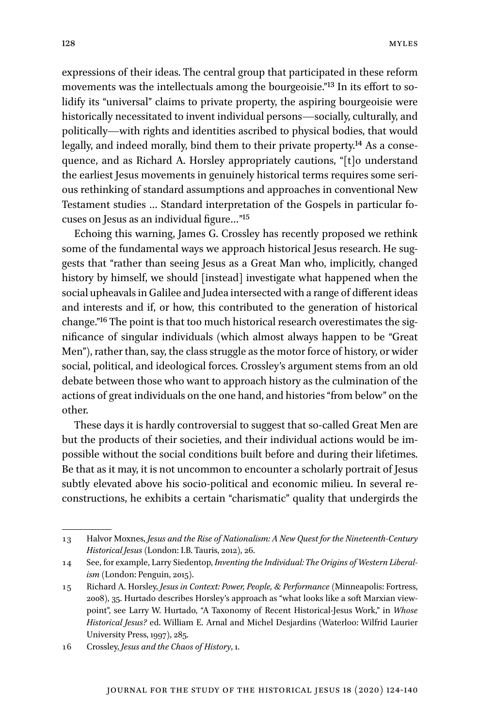expressions of their ideas. The central group that participated in these reform movements was the intellectuals among the bourgeoisie."[13](#page-4-0) In its effort to solidify its "universal" claims to private property, the aspiring bourgeoisie were historically necessitated to invent individual persons—socially, culturally, and politically—with rights and identities ascribed to physical bodies, that would legally, and indeed morally, bind them to their private property.<sup>14</sup> As a consequence, and as Richard A. Horsley appropriately cautions, "[t]o understand the earliest Jesus movements in genuinely historical terms requires some serious rethinking of standard assumptions and approaches in conventional New Testament studies … Standard interpretation of the Gospels in particular focuses on Jesus as an individual figure…["15](#page-4-2)

Echoing this warning, James G. Crossley has recently proposed we rethink some of the fundamental ways we approach historical Jesus research. He suggests that "rather than seeing Jesus as a Great Man who, implicitly, changed history by himself, we should [instead] investigate what happened when the social upheavals in Galilee and Judea intersected with a range of different ideas and interests and if, or how, this contributed to the generation of historical change."[16](#page-4-3) The point is that too much historical research overestimates the significance of singular individuals (which almost always happen to be "Great Men"), rather than, say, the class struggle as the motor force of history, or wider social, political, and ideological forces. Crossley's argument stems from an old debate between those who want to approach history as the culmination of the actions of great individuals on the one hand, and histories "from below" on the other.

These days it is hardly controversial to suggest that so-called Great Men are but the products of their societies, and their individual actions would be impossible without the social conditions built before and during their lifetimes. Be that as it may, it is not uncommon to encounter a scholarly portrait of Jesus subtly elevated above his socio-political and economic milieu. In several reconstructions, he exhibits a certain "charismatic" quality that undergirds the

<span id="page-4-0"></span><sup>13</sup> Halvor Moxnes, *Jesus and the Rise of Nationalism: A New Quest for the Nineteenth-Century Historical Jesus* (London: I.B. Tauris, 2012), 26.

<span id="page-4-1"></span><sup>14</sup> See, for example, Larry Siedentop, *Inventing the Individual: The Origins of Western Liberalism* (London: Penguin, 2015).

<span id="page-4-2"></span><sup>15</sup> Richard A. Horsley, *Jesus in Context: Power, People, & Performance* (Minneapolis: Fortress, 2008), 35. Hurtado describes Horsley's approach as "what looks like a soft Marxian viewpoint", see Larry W. Hurtado, "A Taxonomy of Recent Historical-Jesus Work," in *Whose Historical Jesus?* ed. William E. Arnal and Michel Desjardins (Waterloo: Wilfrid Laurier University Press, 1997), 285.

<span id="page-4-3"></span><sup>16</sup> Crossley, *Jesus and the Chaos of History*, 1.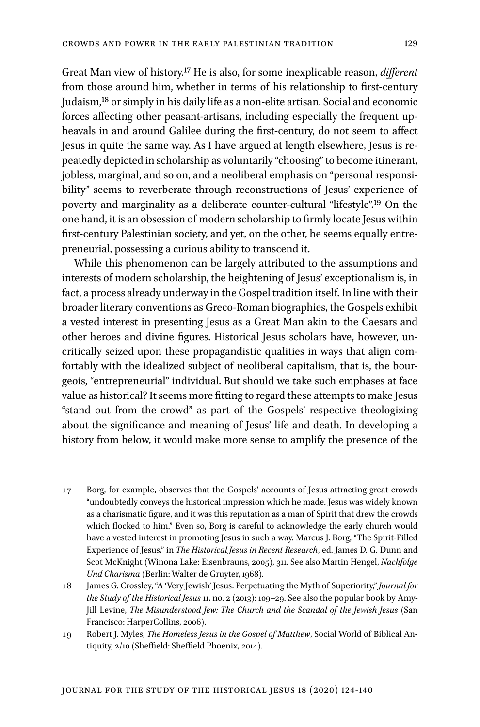Great Man view of history[.17](#page-5-0) He is also, for some inexplicable reason, *different* from those around him, whether in terms of his relationship to first-century Judaism,<sup>18</sup> or simply in his daily life as a non-elite artisan. Social and economic forces affecting other peasant-artisans, including especially the frequent upheavals in and around Galilee during the first-century, do not seem to affect Jesus in quite the same way. As I have argued at length elsewhere, Jesus is repeatedly depicted in scholarship as voluntarily "choosing" to become itinerant, jobless, marginal, and so on, and a neoliberal emphasis on "personal responsibility" seems to reverberate through reconstructions of Jesus' experience of poverty and marginality as a deliberate counter-cultural "lifestyle"[.19](#page-5-2) On the one hand, it is an obsession of modern scholarship to firmly locate Jesus within first-century Palestinian society, and yet, on the other, he seems equally entrepreneurial, possessing a curious ability to transcend it.

While this phenomenon can be largely attributed to the assumptions and interests of modern scholarship, the heightening of Jesus' exceptionalism is, in fact, a process already underway in the Gospel tradition itself. In line with their broader literary conventions as Greco-Roman biographies, the Gospels exhibit a vested interest in presenting Jesus as a Great Man akin to the Caesars and other heroes and divine figures. Historical Jesus scholars have, however, uncritically seized upon these propagandistic qualities in ways that align comfortably with the idealized subject of neoliberal capitalism, that is, the bourgeois, "entrepreneurial" individual. But should we take such emphases at face value as historical? It seems more fitting to regard these attempts to make Jesus "stand out from the crowd" as part of the Gospels' respective theologizing about the significance and meaning of Jesus' life and death. In developing a history from below, it would make more sense to amplify the presence of the

<span id="page-5-0"></span><sup>17</sup> Borg, for example, observes that the Gospels' accounts of Jesus attracting great crowds "undoubtedly conveys the historical impression which he made. Jesus was widely known as a charismatic figure, and it was this reputation as a man of Spirit that drew the crowds which flocked to him." Even so, Borg is careful to acknowledge the early church would have a vested interest in promoting Jesus in such a way. Marcus J. Borg, "The Spirit-Filled Experience of Jesus," in *The Historical Jesus in Recent Research*, ed. James D. G. Dunn and Scot McKnight (Winona Lake: Eisenbrauns, 2005), 311. See also Martin Hengel, *Nachfolge Und Charisma* (Berlin: Walter de Gruyter, 1968).

<span id="page-5-1"></span><sup>18</sup> James G. Crossley, "A 'Very Jewish' Jesus: Perpetuating the Myth of Superiority," *Journal for the Study of the Historical Jesus* 11, no. 2 (2013): 109–29. See also the popular book by Amy-Jill Levine, *The Misunderstood Jew: The Church and the Scandal of the Jewish Jesus* (San Francisco: HarperCollins, 2006).

<span id="page-5-2"></span><sup>19</sup> Robert J. Myles, *The Homeless Jesus in the Gospel of Matthew*, Social World of Biblical Antiquity, 2/10 (Sheffield: Sheffield Phoenix, 2014).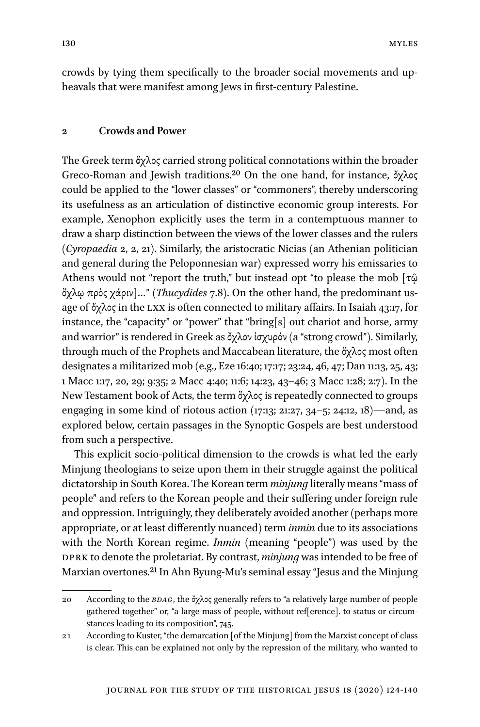crowds by tying them specifically to the broader social movements and upheavals that were manifest among Jews in first-century Palestine.

#### **2 Crowds and Power**

The Greek term **ὄ**χλος carried strong political connotations within the broader Greco-Roman and Jewish traditions[.20](#page-6-0) On the one hand, for instance, ὄχλος could be applied to the "lower classes" or "commoners", thereby underscoring its usefulness as an articulation of distinctive economic group interests. For example, Xenophon explicitly uses the term in a contemptuous manner to draw a sharp distinction between the views of the lower classes and the rulers (*Cyropaedia* 2, 2, 21). Similarly, the aristocratic Nicias (an Athenian politician and general during the Peloponnesian war) expressed worry his emissaries to Athens would not "report the truth," but instead opt "to please the mob [τῷ ὄχλῳ πρὸς χάριν]…" (*Thucydides* 7.8). On the other hand, the predominant usage of ὄχλος in the lxx is often connected to military affairs. In Isaiah 43:17, for instance, the "capacity" or "power" that "bring[s] out chariot and horse, army and warrior" is rendered in Greek as ὄχλον ἰσχυρόν (a "strong crowd"). Similarly, through much of the Prophets and Maccabean literature, the ὄχλος most often designates a militarized mob (e.g., Eze 16:40; 17:17; 23:24, 46, 47; Dan 11:13, 25, 43; 1 Macc 1:17, 20, 29; 9:35; 2 Macc 4:40; 11:6; 14:23, 43–46; 3 Macc 1:28; 2:7). In the New Testament book of Acts, the term ὄχλος is repeatedly connected to groups engaging in some kind of riotous action  $(17:13; 21:27, 34-5; 24:12, 18)$ —and, as explored below, certain passages in the Synoptic Gospels are best understood from such a perspective.

This explicit socio-political dimension to the crowds is what led the early Minjung theologians to seize upon them in their struggle against the political dictatorship in South Korea. The Korean term *minjung* literally means "mass of people" and refers to the Korean people and their suffering under foreign rule and oppression. Intriguingly, they deliberately avoided another (perhaps more appropriate, or at least differently nuanced) term *inmin* due to its associations with the North Korean regime. *Inmin* (meaning "people") was used by the DPRK to denote the proletariat. By contrast, *minjung* was intended to be free of Marxian overtones[.21](#page-6-1) In Ahn Byung-Mu's seminal essay "Jesus and the Minjung

<span id="page-6-0"></span><sup>20</sup> According to the *bdag*, the ὄχλος generally refers to "a relatively large number of people gathered together" or, "a large mass of people, without ref[erence]. to status or circumstances leading to its composition", 745.

<span id="page-6-1"></span><sup>21</sup> According to Kuster, "the demarcation [of the Minjung] from the Marxist concept of class is clear. This can be explained not only by the repression of the military, who wanted to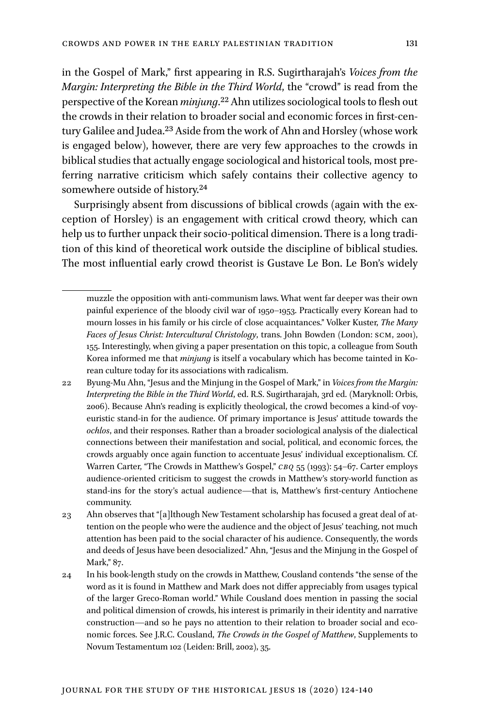in the Gospel of Mark," first appearing in R.S. Sugirtharajah's *Voices from the Margin: Interpreting the Bible in the Third World*, the "crowd" is read from the perspective of the Korean *minjung*.[22](#page-7-0) Ahn utilizes sociological tools to flesh out the crowds in their relation to broader social and economic forces in first-century Galilee and Judea.<sup>23</sup> Aside from the work of Ahn and Horsley (whose work is engaged below), however, there are very few approaches to the crowds in biblical studies that actually engage sociological and historical tools, most preferring narrative criticism which safely contains their collective agency to somewhere outside of history[.24](#page-7-2)

Surprisingly absent from discussions of biblical crowds (again with the exception of Horsley) is an engagement with critical crowd theory, which can help us to further unpack their socio-political dimension. There is a long tradition of this kind of theoretical work outside the discipline of biblical studies. The most influential early crowd theorist is Gustave Le Bon. Le Bon's widely

- <span id="page-7-0"></span>22 Byung-Mu Ahn, "Jesus and the Minjung in the Gospel of Mark," in *Voices from the Margin: Interpreting the Bible in the Third World*, ed. R.S. Sugirtharajah, 3rd ed. (Maryknoll: Orbis, 2006). Because Ahn's reading is explicitly theological, the crowd becomes a kind-of voyeuristic stand-in for the audience. Of primary importance is Jesus' attitude towards the *ochlos*, and their responses. Rather than a broader sociological analysis of the dialectical connections between their manifestation and social, political, and economic forces, the crowds arguably once again function to accentuate Jesus' individual exceptionalism. Cf. Warren Carter, "The Crowds in Matthew's Gospel," *CBQ* 55 (1993): 54-67. Carter employs audience-oriented criticism to suggest the crowds in Matthew's story-world function as stand-ins for the story's actual audience—that is, Matthew's first-century Antiochene community.
- <span id="page-7-1"></span>23 Ahn observes that "[a]lthough New Testament scholarship has focused a great deal of attention on the people who were the audience and the object of Jesus' teaching, not much attention has been paid to the social character of his audience. Consequently, the words and deeds of Jesus have been desocialized." Ahn, "Jesus and the Minjung in the Gospel of Mark," 87.
- <span id="page-7-2"></span>24 In his book-length study on the crowds in Matthew, Cousland contends "the sense of the word as it is found in Matthew and Mark does not differ appreciably from usages typical of the larger Greco-Roman world." While Cousland does mention in passing the social and political dimension of crowds, his interest is primarily in their identity and narrative construction—and so he pays no attention to their relation to broader social and economic forces. See J.R.C. Cousland, *The Crowds in the Gospel of Matthew*, Supplements to Novum Testamentum 102 (Leiden: Brill, 2002), 35.

muzzle the opposition with anti-communism laws. What went far deeper was their own painful experience of the bloody civil war of 1950–1953. Practically every Korean had to mourn losses in his family or his circle of close acquaintances." Volker Kuster, *The Many Faces of Jesus Christ: Intercultural Christology*, trans. John Bowden (London: scm, 2001), 155. Interestingly, when giving a paper presentation on this topic, a colleague from South Korea informed me that *minjung* is itself a vocabulary which has become tainted in Korean culture today for its associations with radicalism.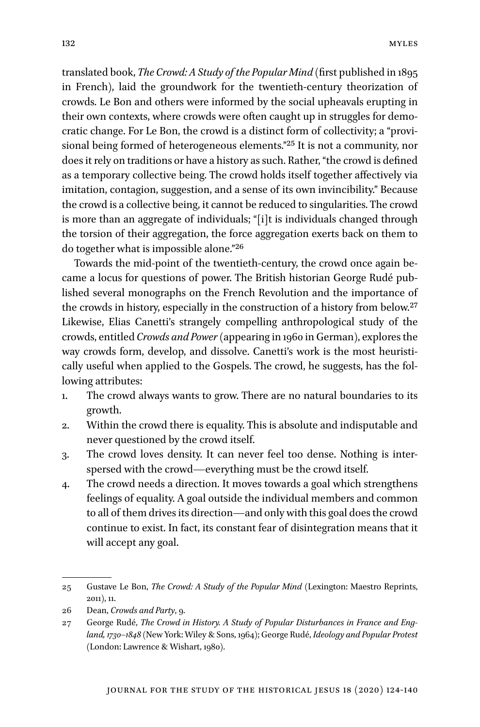translated book, *The Crowd: A Study of the Popular Mind* (first published in 1895 in French), laid the groundwork for the twentieth-century theorization of crowds. Le Bon and others were informed by the social upheavals erupting in their own contexts, where crowds were often caught up in struggles for democratic change. For Le Bon, the crowd is a distinct form of collectivity; a "provisional being formed of heterogeneous elements."[25](#page-8-0) It is not a community, nor does it rely on traditions or have a history as such. Rather, "the crowd is defined as a temporary collective being. The crowd holds itself together affectively via imitation, contagion, suggestion, and a sense of its own invincibility." Because the crowd is a collective being, it cannot be reduced to singularities. The crowd is more than an aggregate of individuals; "[i]t is individuals changed through the torsion of their aggregation, the force aggregation exerts back on them to do together what is impossible alone.["26](#page-8-1)

Towards the mid-point of the twentieth-century, the crowd once again became a locus for questions of power. The British historian George Rudé published several monographs on the French Revolution and the importance of the crowds in history, especially in the construction of a history from below[.27](#page-8-2) Likewise, Elias Canetti's strangely compelling anthropological study of the crowds, entitled *Crowds and Power* (appearing in 1960 in German), explores the way crowds form, develop, and dissolve. Canetti's work is the most heuristically useful when applied to the Gospels. The crowd, he suggests, has the following attributes:

- 1. The crowd always wants to grow. There are no natural boundaries to its growth.
- 2. Within the crowd there is equality. This is absolute and indisputable and never questioned by the crowd itself.
- 3. The crowd loves density. It can never feel too dense. Nothing is interspersed with the crowd—everything must be the crowd itself.
- 4. The crowd needs a direction. It moves towards a goal which strengthens feelings of equality. A goal outside the individual members and common to all of them drives its direction—and only with this goal does the crowd continue to exist. In fact, its constant fear of disintegration means that it will accept any goal.

<span id="page-8-1"></span>26 Dean, *Crowds and Party*, 9.

<span id="page-8-0"></span><sup>25</sup> Gustave Le Bon, *The Crowd: A Study of the Popular Mind* (Lexington: Maestro Reprints, 2011), 11.

<span id="page-8-2"></span><sup>27</sup> George Rudé, *The Crowd in History. A Study of Popular Disturbances in France and England, 1730–1848* (New York: Wiley & Sons, 1964); George Rudé, *Ideology and Popular Protest* (London: Lawrence & Wishart, 1980).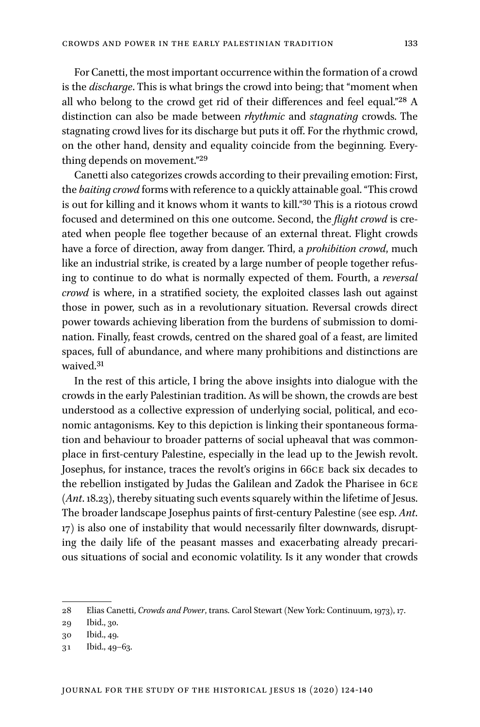For Canetti, the most important occurrence within the formation of a crowd is the *discharge*. This is what brings the crowd into being; that "moment when all who belong to the crowd get rid of their differences and feel equal."[28](#page-9-0) A distinction can also be made between *rhythmic* and *stagnating* crowds. The stagnating crowd lives for its discharge but puts it off. For the rhythmic crowd, on the other hand, density and equality coincide from the beginning. Everything depends on movement."[29](#page-9-1)

Canetti also categorizes crowds according to their prevailing emotion: First, the *baiting crowd* forms with reference to a quickly attainable goal. "This crowd is out for killing and it knows whom it wants to kill.["30](#page-9-2) This is a riotous crowd focused and determined on this one outcome. Second, the *flight crowd* is created when people flee together because of an external threat. Flight crowds have a force of direction, away from danger. Third, a *prohibition crowd*, much like an industrial strike, is created by a large number of people together refusing to continue to do what is normally expected of them. Fourth, a *reversal crowd* is where, in a stratified society, the exploited classes lash out against those in power, such as in a revolutionary situation. Reversal crowds direct power towards achieving liberation from the burdens of submission to domination. Finally, feast crowds, centred on the shared goal of a feast, are limited spaces, full of abundance, and where many prohibitions and distinctions are waived<sup>[31](#page-9-3)</sup>

In the rest of this article, I bring the above insights into dialogue with the crowds in the early Palestinian tradition. As will be shown, the crowds are best understood as a collective expression of underlying social, political, and economic antagonisms. Key to this depiction is linking their spontaneous formation and behaviour to broader patterns of social upheaval that was commonplace in first-century Palestine, especially in the lead up to the Jewish revolt. Josephus, for instance, traces the revolt's origins in 66ce back six decades to the rebellion instigated by Judas the Galilean and Zadok the Pharisee in 6ce (*Ant*. 18.23), thereby situating such events squarely within the lifetime of Jesus. The broader landscape Josephus paints of first-century Palestine (see esp. *Ant*. 17) is also one of instability that would necessarily filter downwards, disrupting the daily life of the peasant masses and exacerbating already precarious situations of social and economic volatility. Is it any wonder that crowds

<span id="page-9-0"></span><sup>28</sup> Elias Canetti, *Crowds and Power*, trans. Carol Stewart (New York: Continuum, 1973), 17.

<span id="page-9-1"></span><sup>29</sup> Ibid., 30.

<span id="page-9-2"></span><sup>30</sup> Ibid., 49.

<span id="page-9-3"></span><sup>31</sup> Ibid., 49–63.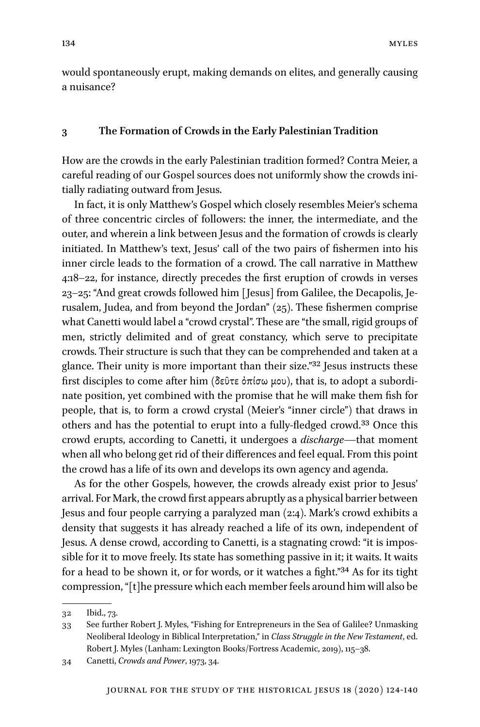would spontaneously erupt, making demands on elites, and generally causing a nuisance?

## **3 The Formation of Crowds in the Early Palestinian Tradition**

How are the crowds in the early Palestinian tradition formed? Contra Meier, a careful reading of our Gospel sources does not uniformly show the crowds initially radiating outward from Jesus.

In fact, it is only Matthew's Gospel which closely resembles Meier's schema of three concentric circles of followers: the inner, the intermediate, and the outer, and wherein a link between Jesus and the formation of crowds is clearly initiated. In Matthew's text, Jesus' call of the two pairs of fishermen into his inner circle leads to the formation of a crowd. The call narrative in Matthew 4:18–22, for instance, directly precedes the first eruption of crowds in verses 23–25: "And great crowds followed him [Jesus] from Galilee, the Decapolis, Jerusalem, Judea, and from beyond the Jordan" (25). These fishermen comprise what Canetti would label a "crowd crystal". These are "the small, rigid groups of men, strictly delimited and of great constancy, which serve to precipitate crowds. Their structure is such that they can be comprehended and taken at a glance. Their unity is more important than their size."[32](#page-10-0) Jesus instructs these first disciples to come after him (δεῦτε ὀπίσω μου), that is, to adopt a subordinate position, yet combined with the promise that he will make them fish for people, that is, to form a crowd crystal (Meier's "inner circle") that draws in others and has the potential to erupt into a fully-fledged crowd.[33](#page-10-1) Once this crowd erupts, according to Canetti, it undergoes a *discharge*—that moment when all who belong get rid of their differences and feel equal. From this point the crowd has a life of its own and develops its own agency and agenda.

As for the other Gospels, however, the crowds already exist prior to Jesus' arrival. For Mark, the crowd first appears abruptly as a physical barrier between Jesus and four people carrying a paralyzed man (2:4). Mark's crowd exhibits a density that suggests it has already reached a life of its own, independent of Jesus. A dense crowd, according to Canetti, is a stagnating crowd: "it is impossible for it to move freely. Its state has something passive in it; it waits. It waits for a head to be shown it, or for words, or it watches a fight.["34](#page-10-2) As for its tight compression, "[t]he pressure which each member feels around him will also be

134

<span id="page-10-0"></span><sup>32</sup> Ibid., 73.

<span id="page-10-1"></span><sup>33</sup> See further Robert J. Myles, "Fishing for Entrepreneurs in the Sea of Galilee? Unmasking Neoliberal Ideology in Biblical Interpretation," in *Class Struggle in the New Testament*, ed. Robert J. Myles (Lanham: Lexington Books/Fortress Academic, 2019), 115–38.

<span id="page-10-2"></span><sup>34</sup> Canetti, *Crowds and Power*, 1973, 34.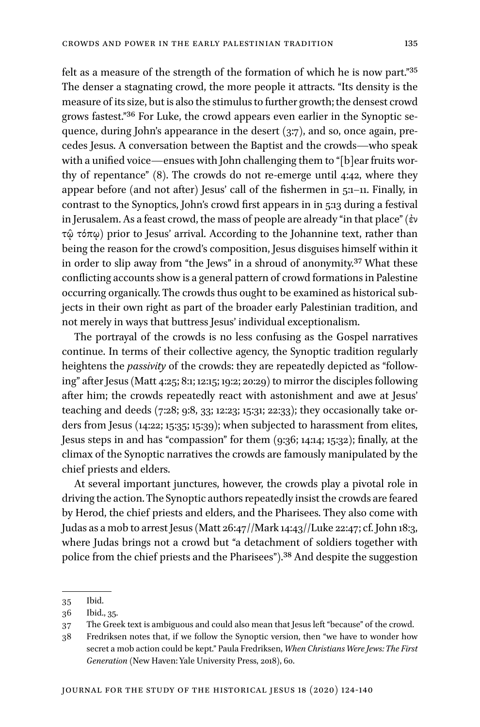felt as a measure of the strength of the formation of which he is now part.["35](#page-11-0) The denser a stagnating crowd, the more people it attracts. "Its density is the measure of its size, but is also the stimulus to further growth; the densest crowd grows fastest.["36](#page-11-1) For Luke, the crowd appears even earlier in the Synoptic sequence, during John's appearance in the desert (3:7), and so, once again, precedes Jesus. A conversation between the Baptist and the crowds—who speak with a unified voice—ensues with John challenging them to "[b]ear fruits worthy of repentance" (8). The crowds do not re-emerge until 4:42, where they appear before (and not after) Jesus' call of the fishermen in 5:1–11. Finally, in contrast to the Synoptics, John's crowd first appears in in 5:13 during a festival in Jerusalem. As a feast crowd, the mass of people are already "in that place" (ἐν τῷ τόπῳ) prior to Jesus' arrival. According to the Johannine text, rather than being the reason for the crowd's composition, Jesus disguises himself within it in order to slip away from "the Jews" in a shroud of anonymity[.37](#page-11-2) What these conflicting accounts show is a general pattern of crowd formations in Palestine occurring organically. The crowds thus ought to be examined as historical subjects in their own right as part of the broader early Palestinian tradition, and not merely in ways that buttress Jesus' individual exceptionalism.

The portrayal of the crowds is no less confusing as the Gospel narratives continue. In terms of their collective agency, the Synoptic tradition regularly heightens the *passivity* of the crowds: they are repeatedly depicted as "following" after Jesus (Matt 4:25; 8:1; 12:15; 19:2; 20:29) to mirror the disciples following after him; the crowds repeatedly react with astonishment and awe at Jesus' teaching and deeds (7:28; 9:8, 33; 12:23; 15:31; 22:33); they occasionally take orders from Jesus (14:22; 15:35; 15:39); when subjected to harassment from elites, Jesus steps in and has "compassion" for them (9:36; 14:14; 15:32); finally, at the climax of the Synoptic narratives the crowds are famously manipulated by the chief priests and elders.

At several important junctures, however, the crowds play a pivotal role in driving the action. The Synoptic authors repeatedly insist the crowds are feared by Herod, the chief priests and elders, and the Pharisees. They also come with Judas as a mob to arrest Jesus (Matt 26:47//Mark 14:43//Luke 22:47; cf. John 18:3, where Judas brings not a crowd but "a detachment of soldiers together with police from the chief priests and the Pharisees")[.38](#page-11-3) And despite the suggestion

<span id="page-11-0"></span><sup>35</sup> Ibid.

<span id="page-11-1"></span><sup>36</sup> Ibid., 35.

<span id="page-11-2"></span><sup>37</sup> The Greek text is ambiguous and could also mean that Jesus left "because" of the crowd.

<span id="page-11-3"></span><sup>38</sup> Fredriksen notes that, if we follow the Synoptic version, then "we have to wonder how secret a mob action could be kept." Paula Fredriksen, *When Christians Were Jews: The First Generation* (New Haven: Yale University Press, 2018), 60.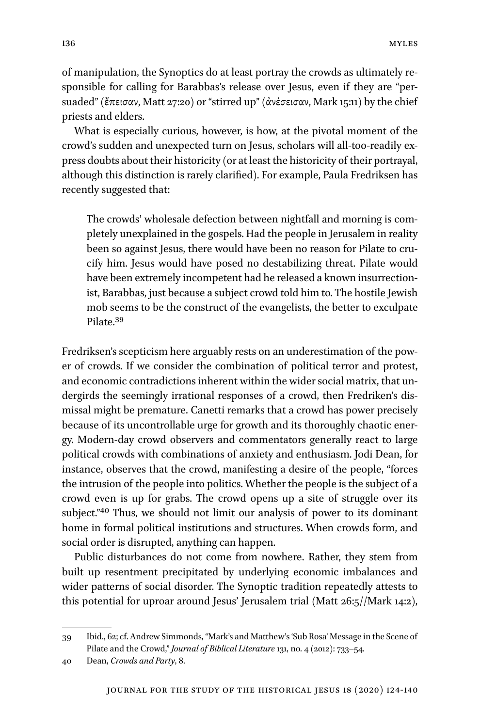of manipulation, the Synoptics do at least portray the crowds as ultimately responsible for calling for Barabbas's release over Jesus, even if they are "persuaded" (ἔπεισαν, Matt 27:20) or "stirred up" (ἀνέσεισαν, Mark 15:11) by the chief priests and elders.

What is especially curious, however, is how, at the pivotal moment of the crowd's sudden and unexpected turn on Jesus, scholars will all-too-readily express doubts about their historicity (or at least the historicity of their portrayal, although this distinction is rarely clarified). For example, Paula Fredriksen has recently suggested that:

The crowds' wholesale defection between nightfall and morning is completely unexplained in the gospels. Had the people in Jerusalem in reality been so against Jesus, there would have been no reason for Pilate to crucify him. Jesus would have posed no destabilizing threat. Pilate would have been extremely incompetent had he released a known insurrectionist, Barabbas, just because a subject crowd told him to. The hostile Jewish mob seems to be the construct of the evangelists, the better to exculpate Pilate<sup>39</sup>

Fredriksen's scepticism here arguably rests on an underestimation of the power of crowds. If we consider the combination of political terror and protest, and economic contradictions inherent within the wider social matrix, that undergirds the seemingly irrational responses of a crowd, then Fredriken's dismissal might be premature. Canetti remarks that a crowd has power precisely because of its uncontrollable urge for growth and its thoroughly chaotic energy. Modern-day crowd observers and commentators generally react to large political crowds with combinations of anxiety and enthusiasm. Jodi Dean, for instance, observes that the crowd, manifesting a desire of the people, "forces the intrusion of the people into politics. Whether the people is the subject of a crowd even is up for grabs. The crowd opens up a site of struggle over its subject."[40](#page-12-1) Thus, we should not limit our analysis of power to its dominant home in formal political institutions and structures. When crowds form, and social order is disrupted, anything can happen.

Public disturbances do not come from nowhere. Rather, they stem from built up resentment precipitated by underlying economic imbalances and wider patterns of social disorder. The Synoptic tradition repeatedly attests to this potential for uproar around Jesus' Jerusalem trial (Matt 26:5//Mark 14:2),

<span id="page-12-0"></span><sup>39</sup> Ibid., 62; cf. Andrew Simmonds, "Mark's and Matthew's 'Sub Rosa' Message in the Scene of Pilate and the Crowd," *Journal of Biblical Literature* 131, no. 4 (2012): 733–54.

<span id="page-12-1"></span><sup>40</sup> Dean, *Crowds and Party*, 8.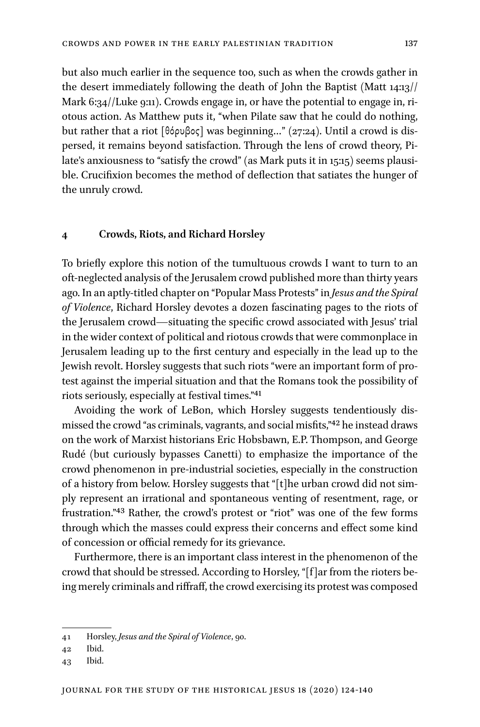but also much earlier in the sequence too, such as when the crowds gather in

the desert immediately following the death of John the Baptist (Matt 14:13// Mark 6:34//Luke 9:11). Crowds engage in, or have the potential to engage in, riotous action. As Matthew puts it, "when Pilate saw that he could do nothing, but rather that a riot [θόρυβος] was beginning…" (27:24). Until a crowd is dispersed, it remains beyond satisfaction. Through the lens of crowd theory, Pilate's anxiousness to "satisfy the crowd" (as Mark puts it in 15:15) seems plausible. Crucifixion becomes the method of deflection that satiates the hunger of the unruly crowd.

#### **4 Crowds, Riots, and Richard Horsley**

To briefly explore this notion of the tumultuous crowds I want to turn to an oft-neglected analysis of the Jerusalem crowd published more than thirty years ago. In an aptly-titled chapter on "Popular Mass Protests" in *Jesus and the Spiral of Violence*, Richard Horsley devotes a dozen fascinating pages to the riots of the Jerusalem crowd—situating the specific crowd associated with Jesus' trial in the wider context of political and riotous crowds that were commonplace in Jerusalem leading up to the first century and especially in the lead up to the Jewish revolt. Horsley suggests that such riots "were an important form of protest against the imperial situation and that the Romans took the possibility of riots seriously, especially at festival times."[41](#page-13-0)

Avoiding the work of LeBon, which Horsley suggests tendentiously dismissed the crowd "as criminals, vagrants, and social misfits,"[42](#page-13-1) he instead draws on the work of Marxist historians Eric Hobsbawn, E.P. Thompson, and George Rudé (but curiously bypasses Canetti) to emphasize the importance of the crowd phenomenon in pre-industrial societies, especially in the construction of a history from below. Horsley suggests that "[t]he urban crowd did not simply represent an irrational and spontaneous venting of resentment, rage, or frustration.["43](#page-13-2) Rather, the crowd's protest or "riot" was one of the few forms through which the masses could express their concerns and effect some kind of concession or official remedy for its grievance.

Furthermore, there is an important class interest in the phenomenon of the crowd that should be stressed. According to Horsley, "[f]ar from the rioters being merely criminals and riffraff, the crowd exercising its protest was composed

<span id="page-13-0"></span><sup>41</sup> Horsley, *Jesus and the Spiral of Violence*, 90.

<span id="page-13-1"></span><sup>42</sup> Ibid.

<span id="page-13-2"></span><sup>43</sup> Ibid.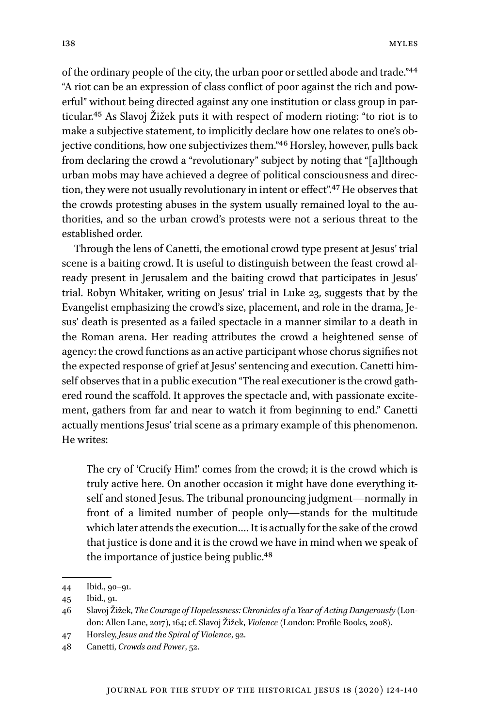of the ordinary people of the city, the urban poor or settled abode and trade."[44](#page-14-0) "A riot can be an expression of class conflict of poor against the rich and powerful" without being directed against any one institution or class group in particular.[45](#page-14-1) As Slavoj Žižek puts it with respect of modern rioting: "to riot is to make a subjective statement, to implicitly declare how one relates to one's objective conditions, how one subjectivizes them."[46](#page-14-2) Horsley, however, pulls back from declaring the crowd a "revolutionary" subject by noting that "[a]lthough urban mobs may have achieved a degree of political consciousness and direction, they were not usually revolutionary in intent or effect".[47](#page-14-3) He observes that the crowds protesting abuses in the system usually remained loyal to the authorities, and so the urban crowd's protests were not a serious threat to the established order.

Through the lens of Canetti, the emotional crowd type present at Jesus' trial scene is a baiting crowd. It is useful to distinguish between the feast crowd already present in Jerusalem and the baiting crowd that participates in Jesus' trial. Robyn Whitaker, writing on Jesus' trial in Luke 23, suggests that by the Evangelist emphasizing the crowd's size, placement, and role in the drama, Jesus' death is presented as a failed spectacle in a manner similar to a death in the Roman arena. Her reading attributes the crowd a heightened sense of agency: the crowd functions as an active participant whose chorus signifies not the expected response of grief at Jesus' sentencing and execution. Canetti himself observes that in a public execution "The real executioner is the crowd gathered round the scaffold. It approves the spectacle and, with passionate excitement, gathers from far and near to watch it from beginning to end." Canetti actually mentions Jesus' trial scene as a primary example of this phenomenon. He writes:

The cry of 'Crucify Him!' comes from the crowd; it is the crowd which is truly active here. On another occasion it might have done everything itself and stoned Jesus. The tribunal pronouncing judgment—normally in front of a limited number of people only—stands for the multitude which later attends the execution…. It is actually for the sake of the crowd that justice is done and it is the crowd we have in mind when we speak of the importance of justice being public.[48](#page-14-4)

<span id="page-14-3"></span>47 Horsley, *Jesus and the Spiral of Violence*, 92.

<span id="page-14-0"></span><sup>44</sup> Ibid., 90–91.

<span id="page-14-1"></span><sup>45</sup> Ibid., 91.

<span id="page-14-2"></span><sup>46</sup> Slavoj Žižek, *The Courage of Hopelessness: Chronicles of a Year of Acting Dangerously* (London: Allen Lane, 2017), 164; cf. Slavoj Žižek, *Violence* (London: Profile Books, 2008).

<span id="page-14-4"></span><sup>48</sup> Canetti, *Crowds and Power*, 52.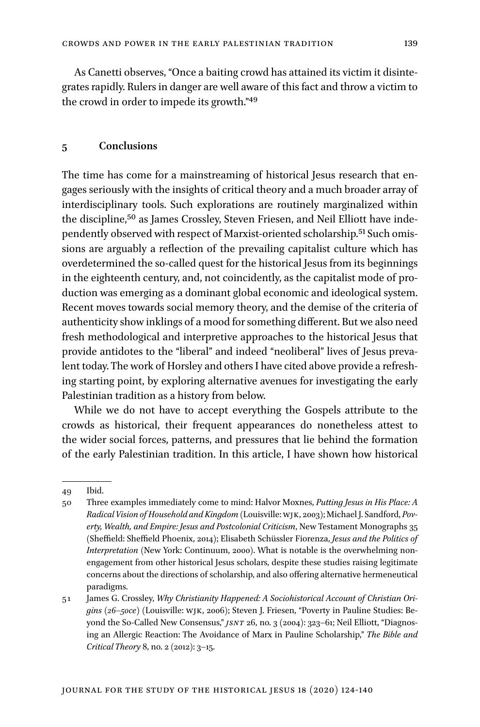As Canetti observes, "Once a baiting crowd has attained its victim it disintegrates rapidly. Rulers in danger are well aware of this fact and throw a victim to the crowd in order to impede its growth.["49](#page-15-0)

### **5 Conclusions**

The time has come for a mainstreaming of historical Jesus research that engages seriously with the insights of critical theory and a much broader array of interdisciplinary tools. Such explorations are routinely marginalized within the discipline,<sup>50</sup> as James Crossley, Steven Friesen, and Neil Elliott have independently observed with respect of Marxist-oriented scholarship[.51](#page-15-2) Such omissions are arguably a reflection of the prevailing capitalist culture which has overdetermined the so-called quest for the historical Jesus from its beginnings in the eighteenth century, and, not coincidently, as the capitalist mode of production was emerging as a dominant global economic and ideological system. Recent moves towards social memory theory, and the demise of the criteria of authenticity show inklings of a mood for something different. But we also need fresh methodological and interpretive approaches to the historical Jesus that provide antidotes to the "liberal" and indeed "neoliberal" lives of Jesus prevalent today. The work of Horsley and others I have cited above provide a refreshing starting point, by exploring alternative avenues for investigating the early Palestinian tradition as a history from below.

While we do not have to accept everything the Gospels attribute to the crowds as historical, their frequent appearances do nonetheless attest to the wider social forces, patterns, and pressures that lie behind the formation of the early Palestinian tradition. In this article, I have shown how historical

<span id="page-15-0"></span><sup>49</sup> Ibid.

<span id="page-15-1"></span><sup>50</sup> Three examples immediately come to mind: Halvor Moxnes, *Putting Jesus in His Place: A Radical Vision of Household and Kingdom* (Louisville: wjk, 2003); Michael J. Sandford, *Poverty, Wealth, and Empire: Jesus and Postcolonial Criticism*, New Testament Monographs 35 (Sheffield: Sheffield Phoenix, 2014); Elisabeth Schüssler Fiorenza, *Jesus and the Politics of Interpretation* (New York: Continuum, 2000). What is notable is the overwhelming nonengagement from other historical Jesus scholars, despite these studies raising legitimate concerns about the directions of scholarship, and also offering alternative hermeneutical paradigms.

<span id="page-15-2"></span><sup>51</sup> James G. Crossley, *Why Christianity Happened: A Sociohistorical Account of Christian Origins (26–50ce)* (Louisville: wjk, 2006); Steven J. Friesen, "Poverty in Pauline Studies: Beyond the So-Called New Consensus," *jsnt* 26, no. 3 (2004): 323–61; Neil Elliott, "Diagnosing an Allergic Reaction: The Avoidance of Marx in Pauline Scholarship," *The Bible and Critical Theory* 8, no. 2 (2012): 3–15.